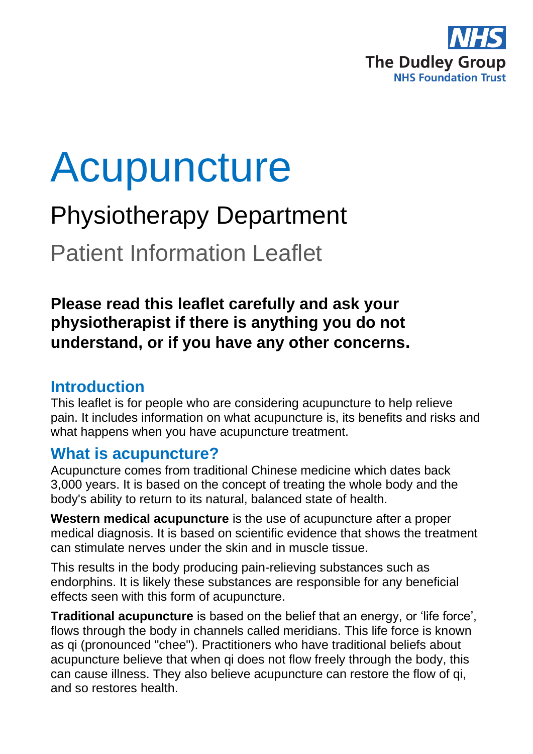

# Acupuncture

## Physiotherapy Department

Patient Information Leaflet

## **Please read this leaflet carefully and ask your physiotherapist if there is anything you do not understand, or if you have any other concerns.**

## **Introduction**

This leaflet is for people who are considering acupuncture to help relieve pain. It includes information on what acupuncture is, its benefits and risks and what happens when you have acupuncture treatment.

## **What is acupuncture?**

Acupuncture comes from traditional Chinese medicine which dates back 3,000 years. It is based on the concept of treating the whole body and the body's ability to return to its natural, balanced state of health.

**Western medical acupuncture** is the use of acupuncture after a proper medical diagnosis. It is based on scientific evidence that shows the treatment can stimulate nerves under the skin and in muscle tissue.

This results in the body producing pain-relieving substances such as endorphins. It is likely these substances are responsible for any beneficial effects seen with this form of acupuncture.

**Traditional acupuncture** is based on the belief that an energy, or 'life force', flows through the body in channels called meridians. This life force is known as qi (pronounced "chee"). Practitioners who have traditional beliefs about acupuncture believe that when qi does not flow freely through the body, this can cause illness. They also believe acupuncture can restore the flow of qi, and so restores health.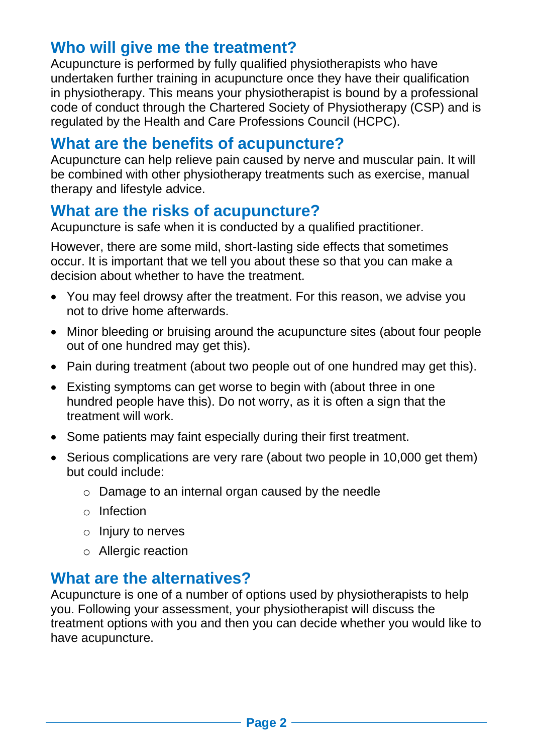## **Who will give me the treatment?**

Acupuncture is performed by fully qualified physiotherapists who have undertaken further training in acupuncture once they have their qualification in physiotherapy. This means your physiotherapist is bound by a professional code of conduct through the Chartered Society of Physiotherapy (CSP) and is regulated by the Health and Care Professions Council (HCPC).

## **What are the benefits of acupuncture?**

Acupuncture can help relieve pain caused by nerve and muscular pain. It will be combined with other physiotherapy treatments such as exercise, manual therapy and lifestyle advice.

## **What are the risks of acupuncture?**

Acupuncture is safe when it is conducted by a qualified practitioner.

However, there are some mild, short-lasting side effects that sometimes occur. It is important that we tell you about these so that you can make a decision about whether to have the treatment.

- You may feel drowsy after the treatment. For this reason, we advise you not to drive home afterwards.
- Minor bleeding or bruising around the acupuncture sites (about four people out of one hundred may get this).
- Pain during treatment (about two people out of one hundred may get this).
- Existing symptoms can get worse to begin with (about three in one hundred people have this). Do not worry, as it is often a sign that the treatment will work.
- Some patients may faint especially during their first treatment.
- Serious complications are very rare (about two people in 10,000 get them) but could include:
	- o Damage to an internal organ caused by the needle
	- o Infection
	- o Injury to nerves
	- o Allergic reaction

## **What are the alternatives?**

Acupuncture is one of a number of options used by physiotherapists to help you. Following your assessment, your physiotherapist will discuss the treatment options with you and then you can decide whether you would like to have acupuncture.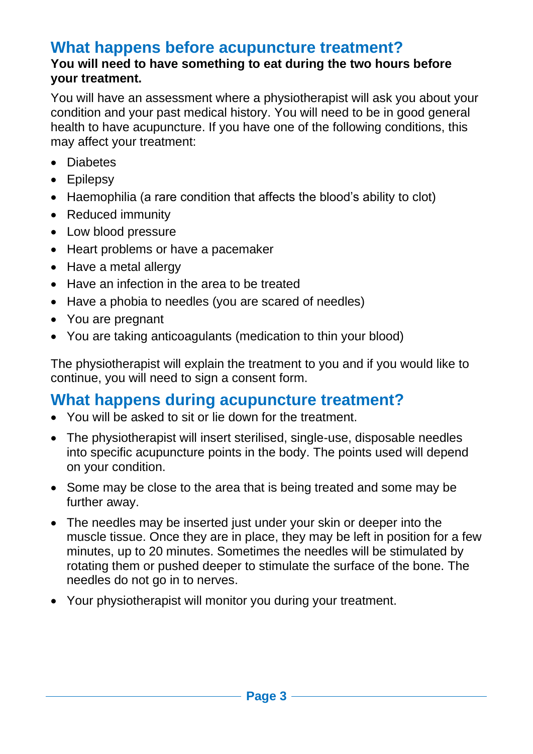## **What happens before acupuncture treatment?**

#### **You will need to have something to eat during the two hours before your treatment.**

You will have an assessment where a physiotherapist will ask you about your condition and your past medical history. You will need to be in good general health to have acupuncture. If you have one of the following conditions, this may affect your treatment:

- Diabetes
- Epilepsy
- Haemophilia (a rare condition that affects the blood's ability to clot)
- Reduced immunity
- Low blood pressure
- Heart problems or have a pacemaker
- Have a metal allergy
- Have an infection in the area to be treated
- Have a phobia to needles (you are scared of needles)
- You are pregnant
- You are taking anticoagulants (medication to thin your blood)

The physiotherapist will explain the treatment to you and if you would like to continue, you will need to sign a consent form.

## **What happens during acupuncture treatment?**

- You will be asked to sit or lie down for the treatment.
- The physiotherapist will insert sterilised, single-use, disposable needles into specific acupuncture points in the body. The points used will depend on your condition.
- Some may be close to the area that is being treated and some may be further away.
- The needles may be inserted just under your skin or deeper into the muscle tissue. Once they are in place, they may be left in position for a few minutes, up to 20 minutes. Sometimes the needles will be stimulated by rotating them or pushed deeper to stimulate the surface of the bone. The needles do not go in to nerves.
- Your physiotherapist will monitor you during your treatment.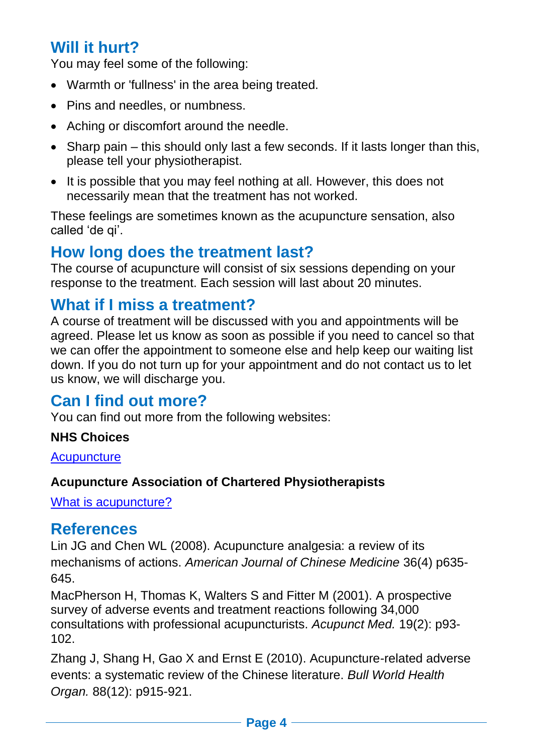## **Will it hurt?**

You may feel some of the following:

- Warmth or 'fullness' in the area being treated.
- Pins and needles, or numbness.
- Aching or discomfort around the needle.
- Sharp pain this should only last a few seconds. If it lasts longer than this, please tell your physiotherapist.
- It is possible that you may feel nothing at all. However, this does not necessarily mean that the treatment has not worked.

These feelings are sometimes known as the acupuncture sensation, also called 'de qi'.

## **How long does the treatment last?**

The course of acupuncture will consist of six sessions depending on your response to the treatment. Each session will last about 20 minutes.

## **What if I miss a treatment?**

A course of treatment will be discussed with you and appointments will be agreed. Please let us know as soon as possible if you need to cancel so that we can offer the appointment to someone else and help keep our waiting list down. If you do not turn up for your appointment and do not contact us to let us know, we will discharge you.

## **Can I find out more?**

You can find out more from the following websites:

#### **NHS Choices**

**[Acupuncture](http://www.nhs.uk/Conditions/Acupuncture/Pages/Introduction.aspx)** 

#### **Acupuncture Association of Chartered Physiotherapists**

[What is acupuncture?](https://www.aacp.org.uk/page/14/what-is-acupuncture)

### **References**

Lin JG and Chen WL (2008). Acupuncture analgesia: a review of its mechanisms of actions. *American Journal of Chinese Medicine* 36(4) p635- 645.

MacPherson H, Thomas K, Walters S and Fitter M (2001). A prospective survey of adverse events and treatment reactions following 34,000 consultations with professional acupuncturists. *Acupunct Med.* 19(2): p93- 102.

Zhang J, Shang H, Gao X and Ernst E (2010). Acupuncture-related adverse events: a systematic review of the Chinese literature. *Bull World Health Organ.* 88(12): p915-921.